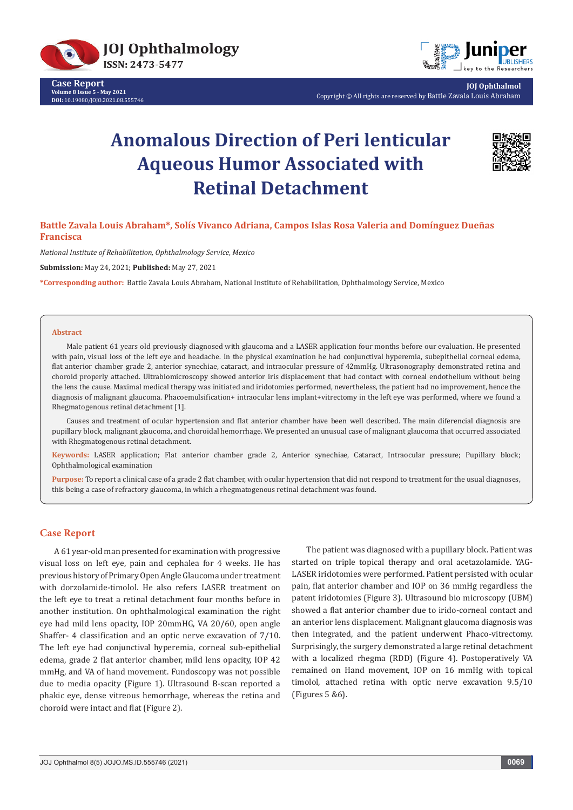

**Case Report Volume 8 Issue 5 - May 2021 DOI:** [10.19080/JOJO.2021.08.55574](http://dx.doi.org/10.19080/JOJO.2021.08.555746)6



**JOJ Ophthalmol** Copyright © All rights are reserved by Battle Zavala Louis Abraham

# **Anomalous Direction of Peri lenticular Aqueous Humor Associated with Retinal Detachment**



**Battle Zavala Louis Abraham\*, Solís Vivanco Adriana, Campos Islas Rosa Valeria and Domínguez Dueñas Francisca** 

*National Institute of Rehabilitation, Ophthalmology Service, Mexico*

**Submission:** May 24, 2021; **Published:** May 27, 2021

**\*Corresponding author:** Battle Zavala Louis Abraham, National Institute of Rehabilitation, Ophthalmology Service, Mexico

#### **Abstract**

Male patient 61 years old previously diagnosed with glaucoma and a LASER application four months before our evaluation. He presented with pain, visual loss of the left eye and headache. In the physical examination he had conjunctival hyperemia, subepithelial corneal edema, flat anterior chamber grade 2, anterior synechiae, cataract, and intraocular pressure of 42mmHg. Ultrasonography demonstrated retina and choroid properly attached. Ultrabiomicroscopy showed anterior iris displacement that had contact with corneal endothelium without being the lens the cause. Maximal medical therapy was initiated and iridotomies performed, nevertheless, the patient had no improvement, hence the diagnosis of malignant glaucoma. Phacoemulsification+ intraocular lens implant+vitrectomy in the left eye was performed, where we found a Rhegmatogenous retinal detachment [1].

Causes and treatment of ocular hypertension and flat anterior chamber have been well described. The main diferencial diagnosis are pupillary block, malignant glaucoma, and choroidal hemorrhage. We presented an unusual case of malignant glaucoma that occurred associated with Rhegmatogenous retinal detachment.

**Keywords:** LASER application; Flat anterior chamber grade 2, Anterior synechiae, Cataract, Intraocular pressure; Pupillary block; Ophthalmological examination

**Purpose:** To report a clinical case of a grade 2 flat chamber, with ocular hypertension that did not respond to treatment for the usual diagnoses, this being a case of refractory glaucoma, in which a rhegmatogenous retinal detachment was found.

## **Case Report**

A 61 year-old man presented for examination with progressive visual loss on left eye, pain and cephalea for 4 weeks. He has previous history of Primary Open Angle Glaucoma under treatment with dorzolamide-timolol. He also refers LASER treatment on the left eye to treat a retinal detachment four months before in another institution. On ophthalmological examination the right eye had mild lens opacity, IOP 20mmHG, VA 20/60, open angle Shaffer- 4 classification and an optic nerve excavation of 7/10. The left eye had conjunctival hyperemia, corneal sub-epithelial edema, grade 2 flat anterior chamber, mild lens opacity, IOP 42 mmHg, and VA of hand movement. Fundoscopy was not possible due to media opacity (Figure 1). Ultrasound B-scan reported a phakic eye, dense vitreous hemorrhage, whereas the retina and choroid were intact and flat (Figure 2).

The patient was diagnosed with a pupillary block. Patient was started on triple topical therapy and oral acetazolamide. YAG-LASER iridotomies were performed. Patient persisted with ocular pain, flat anterior chamber and IOP on 36 mmHg regardless the patent iridotomies (Figure 3). Ultrasound bio microscopy (UBM) showed a flat anterior chamber due to irido-corneal contact and an anterior lens displacement. Malignant glaucoma diagnosis was then integrated, and the patient underwent Phaco-vitrectomy. Surprisingly, the surgery demonstrated a large retinal detachment with a localized rhegma (RDD) (Figure 4). Postoperatively VA remained on Hand movement, IOP on 16 mmHg with topical timolol, attached retina with optic nerve excavation 9.5/10 (Figures 5 &6).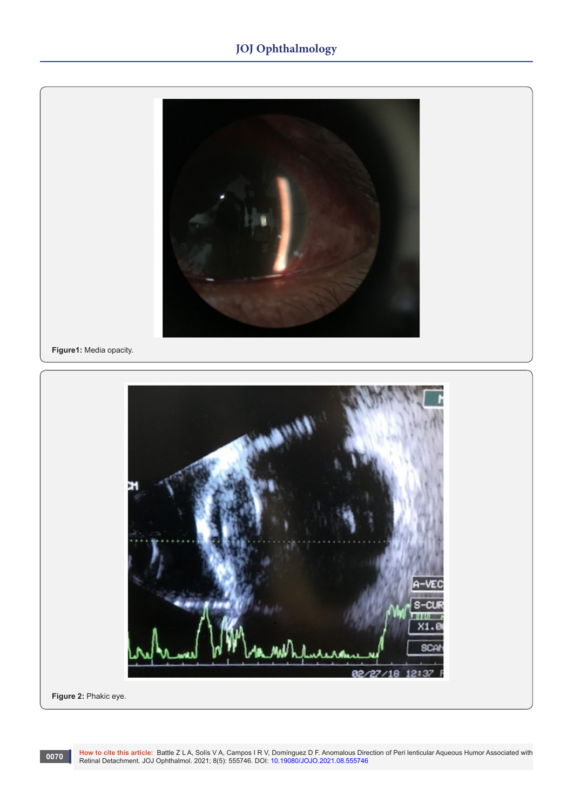# **JOJ Ophthalmology**

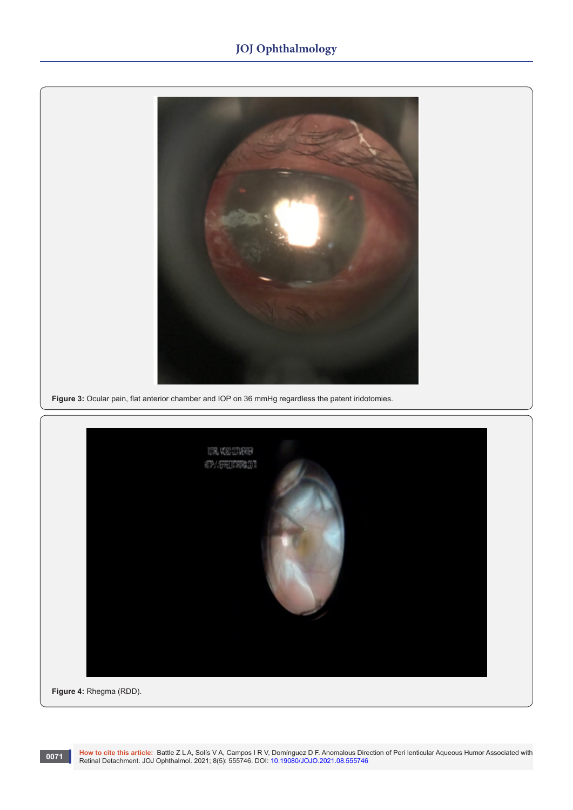# **JOJ Ophthalmology**





Morto cite this article: Battle Z L A, Solís V A, Campos I R V, Domínguez D F. Anomalous Direction of Peri lenticular Aqueous Humor Associated with Retinal Detachment. JOJ Ophthalmol. 2021; 8(5): 555746. DOI: 10.19080/JOJO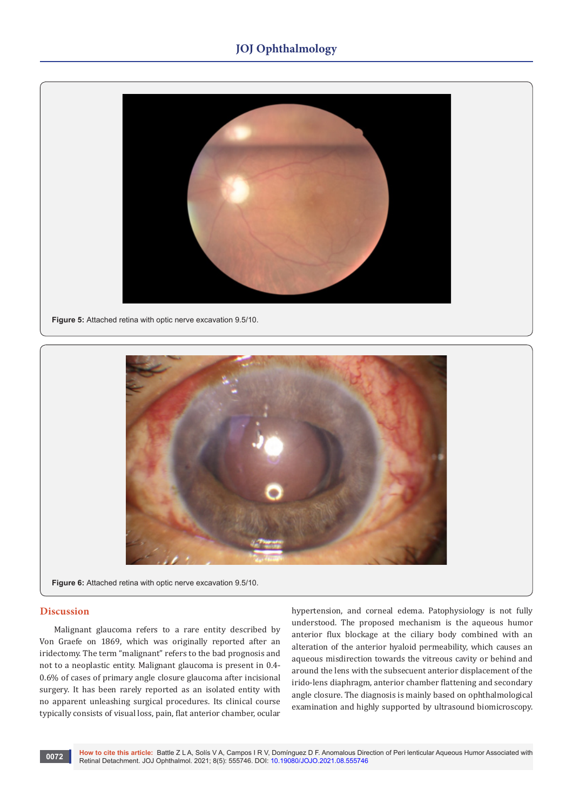# **JOJ Ophthalmology**



**Figure 5:** Attached retina with optic nerve excavation 9.5/10.



**Figure 6:** Attached retina with optic nerve excavation 9.5/10.

# **Discussion**

Malignant glaucoma refers to a rare entity described by Von Graefe on 1869, which was originally reported after an iridectomy. The term "malignant" refers to the bad prognosis and not to a neoplastic entity. Malignant glaucoma is present in 0.4- 0.6% of cases of primary angle closure glaucoma after incisional surgery. It has been rarely reported as an isolated entity with no apparent unleashing surgical procedures. Its clinical course typically consists of visual loss, pain, flat anterior chamber, ocular hypertension, and corneal edema. Patophysiology is not fully understood. The proposed mechanism is the aqueous humor anterior flux blockage at the ciliary body combined with an alteration of the anterior hyaloid permeability, which causes an aqueous misdirection towards the vitreous cavity or behind and around the lens with the subsecuent anterior displacement of the irido-lens diaphragm, anterior chamber flattening and secondary angle closure. The diagnosis is mainly based on ophthalmological examination and highly supported by ultrasound biomicroscopy.